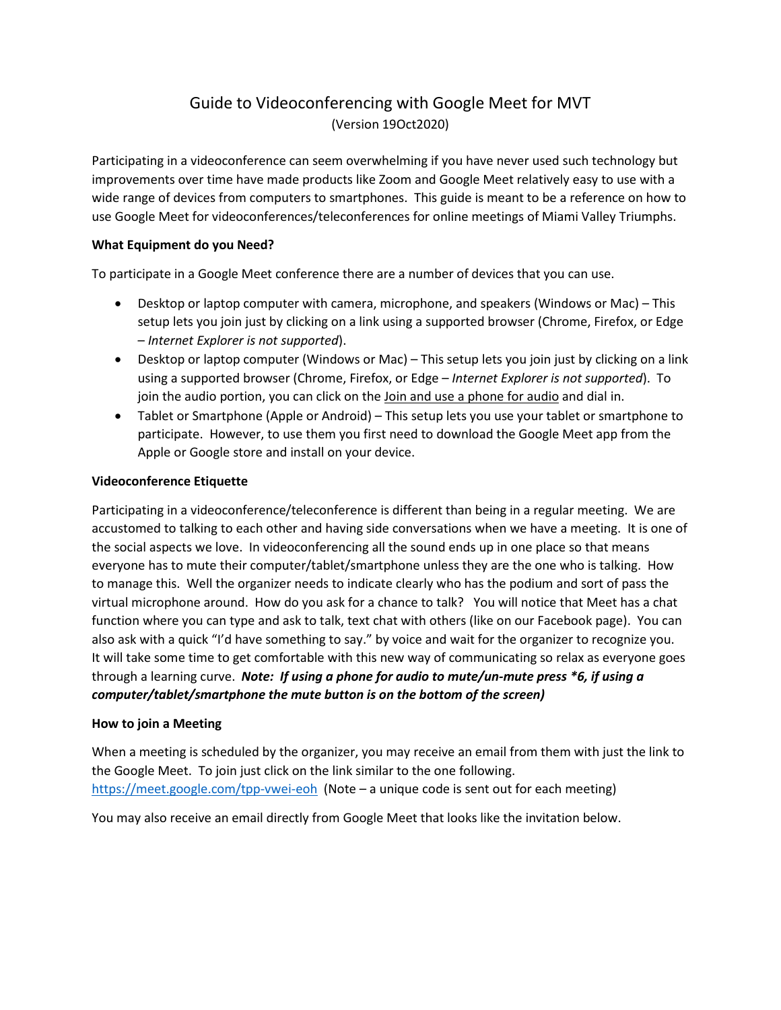# Guide to Videoconferencing with Google Meet for MVT (Version 19Oct2020)

Participating in a videoconference can seem overwhelming if you have never used such technology but improvements over time have made products like Zoom and Google Meet relatively easy to use with a wide range of devices from computers to smartphones. This guide is meant to be a reference on how to use Google Meet for videoconferences/teleconferences for online meetings of Miami Valley Triumphs.

## **What Equipment do you Need?**

To participate in a Google Meet conference there are a number of devices that you can use.

- Desktop or laptop computer with camera, microphone, and speakers (Windows or Mac) This setup lets you join just by clicking on a link using a supported browser (Chrome, Firefox, or Edge – *Internet Explorer is not supported*).
- Desktop or laptop computer (Windows or Mac) This setup lets you join just by clicking on a link using a supported browser (Chrome, Firefox, or Edge – *Internet Explorer is not supported*). To join the audio portion, you can click on the Join and use a phone for audio and dial in.
- Tablet or Smartphone (Apple or Android) This setup lets you use your tablet or smartphone to participate. However, to use them you first need to download the Google Meet app from the Apple or Google store and install on your device.

## **Videoconference Etiquette**

Participating in a videoconference/teleconference is different than being in a regular meeting. We are accustomed to talking to each other and having side conversations when we have a meeting. It is one of the social aspects we love. In videoconferencing all the sound ends up in one place so that means everyone has to mute their computer/tablet/smartphone unless they are the one who is talking. How to manage this. Well the organizer needs to indicate clearly who has the podium and sort of pass the virtual microphone around. How do you ask for a chance to talk? You will notice that Meet has a chat function where you can type and ask to talk, text chat with others (like on our Facebook page). You can also ask with a quick "I'd have something to say." by voice and wait for the organizer to recognize you. It will take some time to get comfortable with this new way of communicating so relax as everyone goes through a learning curve. *Note: If using a phone for audio to mute/un-mute press \*6, if using a computer/tablet/smartphone the mute button is on the bottom of the screen)*

#### **How to join a Meeting**

When a meeting is scheduled by the organizer, you may receive an email from them with just the link to the Google Meet. To join just click on the link similar to the one following. <https://meet.google.com/tpp-vwei-eoh> (Note – a unique code is sent out for each meeting)

You may also receive an email directly from Google Meet that looks like the invitation below.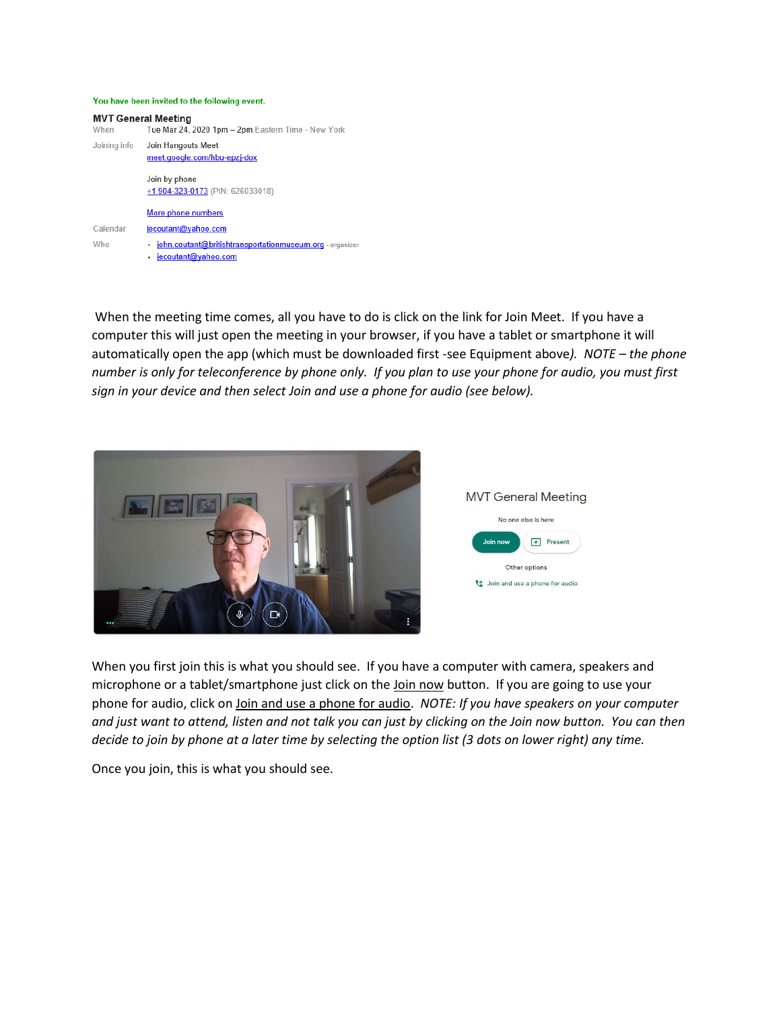#### You have been invited to the following event.

| <b>MVT General Meeting</b><br>When | Tue Mar 24, 2020 1pm - 2pm Eastern Time - New York                                  |
|------------------------------------|-------------------------------------------------------------------------------------|
| Joining info                       | Join Hangouts Meet<br>meet.google.com/hbu-epzj-dox                                  |
|                                    | Join by phone<br>+1 904-323-0173 (PIN: 626033018)                                   |
|                                    | More phone numbers                                                                  |
| Calendar                           | jecoutant@yahoo.com                                                                 |
| Who                                | john.coutant@britishtransportationmuseum.org - organize<br>٠<br>jecoutant@yahoo.com |

When the meeting time comes, all you have to do is click on the link for Join Meet. If you have a computer this will just open the meeting in your browser, if you have a tablet or smartphone it will automatically open the app (which must be downloaded first -see Equipment above*). NOTE – the phone number is only for teleconference by phone only. If you plan to use your phone for audio, you must first sign in your device and then select Join and use a phone for audio (see below).*





When you first join this is what you should see. If you have a computer with camera, speakers and microphone or a tablet/smartphone just click on the Join now button. If you are going to use your phone for audio, click on Join and use a phone for audio. *NOTE: If you have speakers on your computer and just want to attend, listen and not talk you can just by clicking on the Join now button. You can then decide to join by phone at a later time by selecting the option list (3 dots on lower right) any time.*

Once you join, this is what you should see.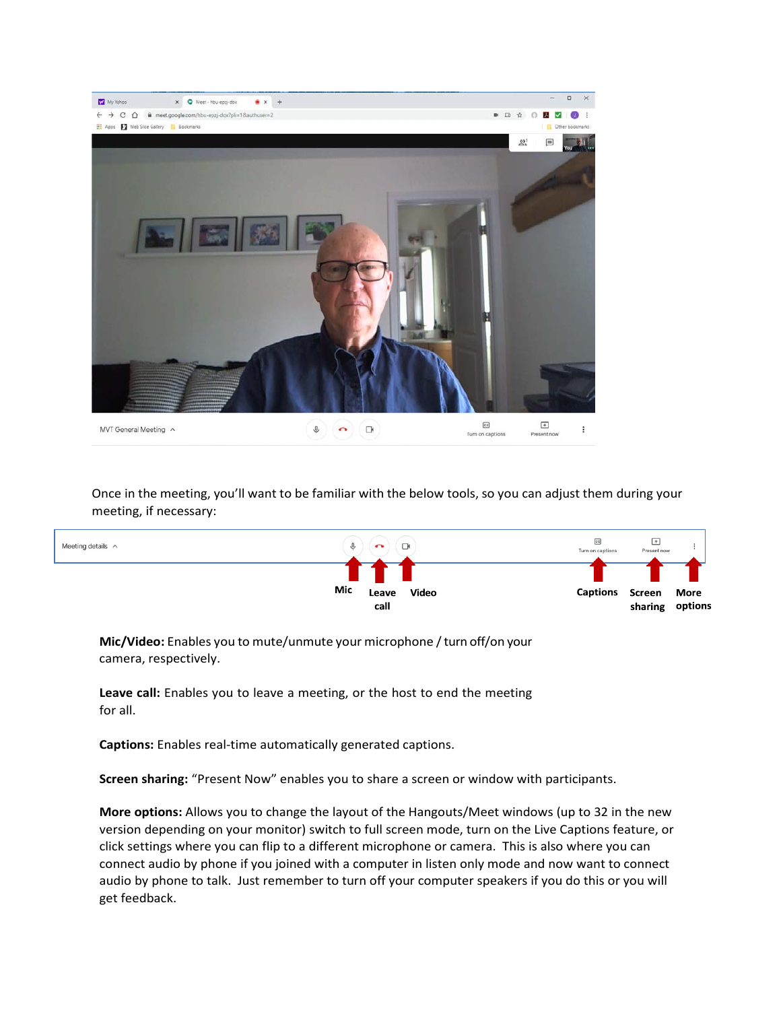

Once in the meeting, you'll want to be familiar with the below tools, so you can adjust them during your meeting, if necessary:



**Mic/Video:** Enables you to mute/unmute your microphone / turn off/on your camera, respectively.

**Leave call:** Enables you to leave a meeting, or the host to end the meeting for all.

**Captions:** Enables real-time automatically generated captions.

**Screen sharing:** "Present Now" enables you to share a screen or window with participants.

**More options:** Allows you to change the layout of the Hangouts/Meet windows (up to 32 in the new version depending on your monitor) switch to full screen mode, turn on the Live Captions feature, or click settings where you can flip to a different microphone or camera. This is also where you can connect audio by phone if you joined with a computer in listen only mode and now want to connect audio by phone to talk. Just remember to turn off your computer speakers if you do this or you will get feedback.